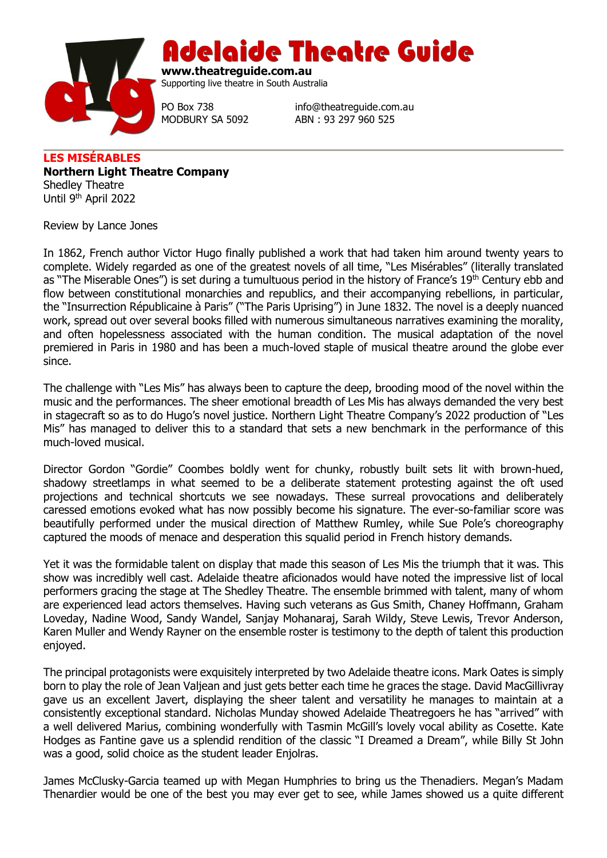

Adelaide Theatre Guide

**www.theatreguide.com.au** Supporting live theatre in South Australia

PO Box 738 info@theatreguide.com.au MODBURY SA 5092 ABN : 93 297 960 525

**LES MISÉRABLES Northern Light Theatre Company** Shedley Theatre Until 9th April 2022

Review by Lance Jones

In 1862, French author Victor Hugo finally published a work that had taken him around twenty years to complete. Widely regarded as one of the greatest novels of all time, "Les Misérables" (literally translated as "The Miserable Ones") is set during a tumultuous period in the history of France's 19<sup>th</sup> Century ebb and flow between constitutional monarchies and republics, and their accompanying rebellions, in particular, the "Insurrection Républicaine à Paris" ("The Paris Uprising") in June 1832. The novel is a deeply nuanced work, spread out over several books filled with numerous simultaneous narratives examining the morality, and often hopelessness associated with the human condition. The musical adaptation of the novel premiered in Paris in 1980 and has been a much-loved staple of musical theatre around the globe ever since.

The challenge with "Les Mis" has always been to capture the deep, brooding mood of the novel within the music and the performances. The sheer emotional breadth of Les Mis has always demanded the very best in stagecraft so as to do Hugo's novel justice. Northern Light Theatre Company's 2022 production of "Les Mis" has managed to deliver this to a standard that sets a new benchmark in the performance of this much-loved musical.

Director Gordon "Gordie" Coombes boldly went for chunky, robustly built sets lit with brown-hued, shadowy streetlamps in what seemed to be a deliberate statement protesting against the oft used projections and technical shortcuts we see nowadays. These surreal provocations and deliberately caressed emotions evoked what has now possibly become his signature. The ever-so-familiar score was beautifully performed under the musical direction of Matthew Rumley, while Sue Pole's choreography captured the moods of menace and desperation this squalid period in French history demands.

Yet it was the formidable talent on display that made this season of Les Mis the triumph that it was. This show was incredibly well cast. Adelaide theatre aficionados would have noted the impressive list of local performers gracing the stage at The Shedley Theatre. The ensemble brimmed with talent, many of whom are experienced lead actors themselves. Having such veterans as Gus Smith, Chaney Hoffmann, Graham Loveday, Nadine Wood, Sandy Wandel, Sanjay Mohanaraj, Sarah Wildy, Steve Lewis, Trevor Anderson, Karen Muller and Wendy Rayner on the ensemble roster is testimony to the depth of talent this production enjoyed.

The principal protagonists were exquisitely interpreted by two Adelaide theatre icons. Mark Oates is simply born to play the role of Jean Valjean and just gets better each time he graces the stage. David MacGillivray gave us an excellent Javert, displaying the sheer talent and versatility he manages to maintain at a consistently exceptional standard. Nicholas Munday showed Adelaide Theatregoers he has "arrived" with a well delivered Marius, combining wonderfully with Tasmin McGill's lovely vocal ability as Cosette. Kate Hodges as Fantine gave us a splendid rendition of the classic "I Dreamed a Dream", while Billy St John was a good, solid choice as the student leader Enjolras.

James McClusky-Garcia teamed up with Megan Humphries to bring us the Thenadiers. Megan's Madam Thenardier would be one of the best you may ever get to see, while James showed us a quite different